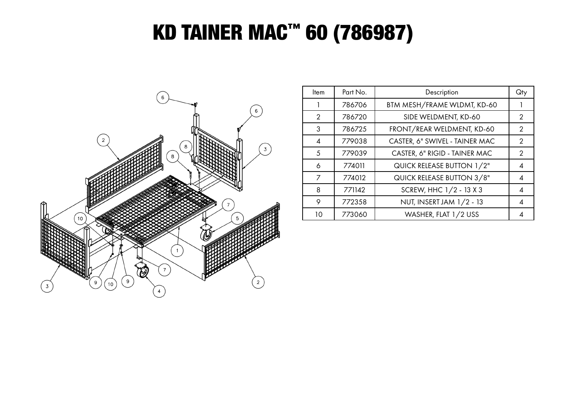## KD TAINER MAC™ 60 (786987)



| <b>Item</b> | Part No. | Description                    | Qty |
|-------------|----------|--------------------------------|-----|
|             | 786706   | BTM MESH/FRAME WLDMT, KD-60    |     |
| 2           | 786720   | SIDE WELDMENT, KD-60           | 2   |
| 3           | 786725   | FRONT/REAR WELDMENT, KD-60     | 2   |
| 4           | 779038   | CASTER, 6" SWIVEL - TAINER MAC | 2   |
| 5           | 779039   | CASTER, 6" RIGID - TAINER MAC  | 2   |
| 6           | 774011   | QUICK RELEASE BUTTON 1/2"      | 4   |
| 7           | 774012   | QUICK RELEASE BUTTON 3/8"      | 4   |
| 8           | 771142   | SCREW, HHC 1/2 - 13 X 3        | 4   |
| 9           | 772358   | NUT, INSERT JAM 1/2 - 13       | 4   |
| 10          | 773060   | WASHER, FLAT 1/2 USS           |     |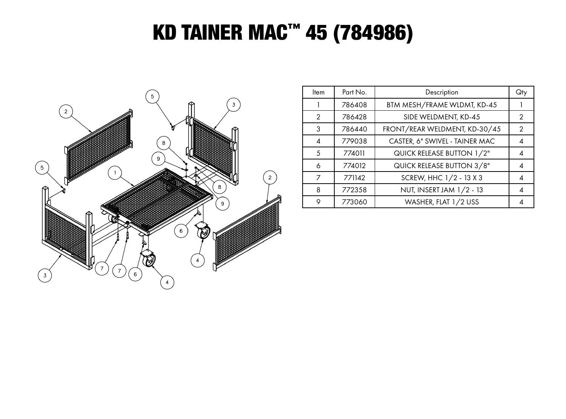## **KD TAINER MAC™ 45 (784986)**



| Item          | Part No. | Description                    | Qty |
|---------------|----------|--------------------------------|-----|
|               | 786408   | BTM MESH/FRAME WLDMT, KD-45    |     |
| $\mathcal{P}$ | 786428   | SIDE WELDMENT, KD-45           | 2   |
| 3             | 786440   | FRONT/REAR WELDMENT, KD-30/45  | 2   |
| 4             | 779038   | CASTER, 6" SWIVEL - TAINER MAC | 4   |
| .5            | 774011   | QUICK RELEASE BUTTON 1/2"      | 4   |
| 6             | 774012   | QUICK RELEASE BUTTON 3/8"      | 4   |
|               | 771142   | SCREW, HHC 1/2 - 13 X 3        |     |
| 8             | 772358   | NUT, INSERT JAM 1/2 - 13       | 4   |
| 9             | 773060   | WASHER, FLAT 1/2 USS           |     |